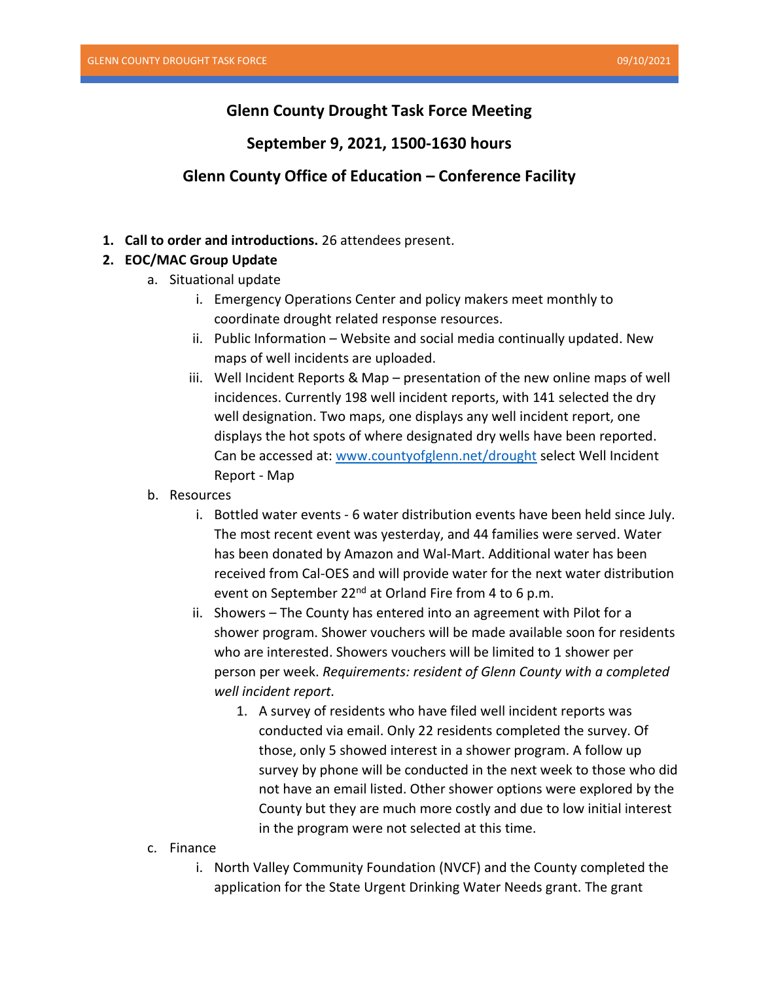# **Glenn County Drought Task Force Meeting**

## **September 9, 2021, 1500-1630 hours**

# **Glenn County Office of Education – Conference Facility**

**1. Call to order and introductions.** 26 attendees present.

## **2. EOC/MAC Group Update**

- a. Situational update
	- i. Emergency Operations Center and policy makers meet monthly to coordinate drought related response resources.
	- ii. Public Information Website and social media continually updated. New maps of well incidents are uploaded.
	- iii. Well Incident Reports & Map presentation of the new online maps of well incidences. Currently 198 well incident reports, with 141 selected the dry well designation. Two maps, one displays any well incident report, one displays the hot spots of where designated dry wells have been reported. Can be accessed at: [www.countyofglenn.net/drought](http://www.countyofglenn.net/drought) select Well Incident Report - Map
- b. Resources
	- i. Bottled water events 6 water distribution events have been held since July. The most recent event was yesterday, and 44 families were served. Water has been donated by Amazon and Wal-Mart. Additional water has been received from Cal-OES and will provide water for the next water distribution event on September 22<sup>nd</sup> at Orland Fire from 4 to 6 p.m.
	- ii. Showers The County has entered into an agreement with Pilot for a shower program. Shower vouchers will be made available soon for residents who are interested. Showers vouchers will be limited to 1 shower per person per week. *Requirements: resident of Glenn County with a completed well incident report.*
		- 1. A survey of residents who have filed well incident reports was conducted via email. Only 22 residents completed the survey. Of those, only 5 showed interest in a shower program. A follow up survey by phone will be conducted in the next week to those who did not have an email listed. Other shower options were explored by the County but they are much more costly and due to low initial interest in the program were not selected at this time.
- c. Finance
	- i. North Valley Community Foundation (NVCF) and the County completed the application for the State Urgent Drinking Water Needs grant. The grant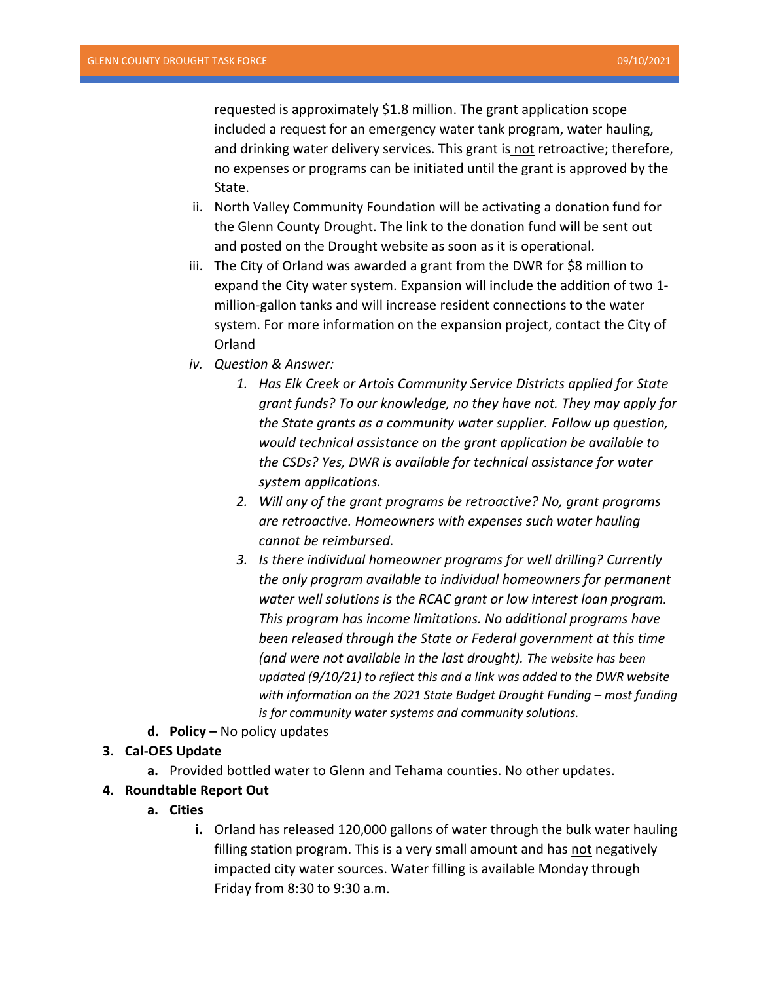requested is approximately \$1.8 million. The grant application scope included a request for an emergency water tank program, water hauling, and drinking water delivery services. This grant is not retroactive; therefore, no expenses or programs can be initiated until the grant is approved by the State.

- ii. North Valley Community Foundation will be activating a donation fund for the Glenn County Drought. The link to the donation fund will be sent out and posted on the Drought website as soon as it is operational.
- iii. The City of Orland was awarded a grant from the DWR for \$8 million to expand the City water system. Expansion will include the addition of two 1 million-gallon tanks and will increase resident connections to the water system. For more information on the expansion project, contact the City of Orland
- *iv. Question & Answer:*
	- *1. Has Elk Creek or Artois Community Service Districts applied for State grant funds? To our knowledge, no they have not. They may apply for the State grants as a community water supplier. Follow up question, would technical assistance on the grant application be available to the CSDs? Yes, DWR is available for technical assistance for water system applications.*
	- *2. Will any of the grant programs be retroactive? No, grant programs are retroactive. Homeowners with expenses such water hauling cannot be reimbursed.*
	- *3. Is there individual homeowner programs for well drilling? Currently the only program available to individual homeowners for permanent water well solutions is the RCAC grant or low interest loan program. This program has income limitations. No additional programs have been released through the State or Federal government at this time (and were not available in the last drought). The website has been updated (9/10/21) to reflect this and a link was added to the DWR website with information on the 2021 State Budget Drought Funding – most funding is for community water systems and community solutions.*
- **d. Policy –** No policy updates

#### **3. Cal-OES Update**

**a.** Provided bottled water to Glenn and Tehama counties. No other updates.

## **4. Roundtable Report Out**

- **a. Cities**
	- **i.** Orland has released 120,000 gallons of water through the bulk water hauling filling station program. This is a very small amount and has not negatively impacted city water sources. Water filling is available Monday through Friday from 8:30 to 9:30 a.m.